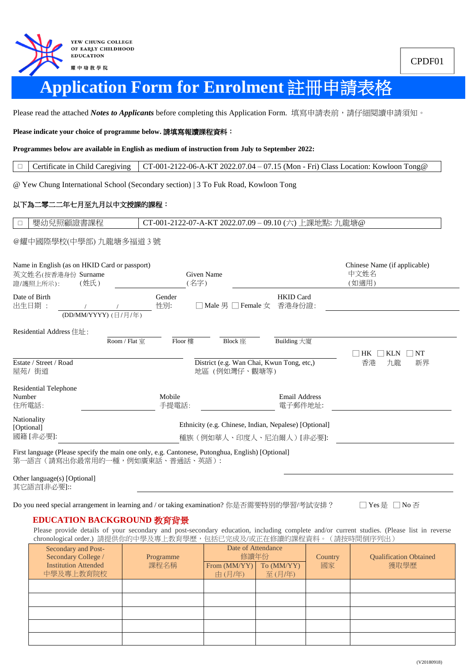

# **Application Form for Enrolment** 註冊申請表格

Please read the attached *Notes to Applicants* before completing this Application Form. 填寫申請表前,請仔細閱讀申請須知。

**Please indicate your choice of programme below.** 請填寫報讀課程資料:

**Programmes below are available in English as medium of instruction from July to September 2022:**

 $\Box$  Certificate in Child Caregiving CT-001-2122-06-A-KT 2022.07.04 – 07.15 (Mon - Fri) Class Location: Kowloon Tong@

@ Yew Chung International School (Secondary section) | 3 To Fuk Road, Kowloon Tong

#### 以下為二零二二年七月至九月以中文授課的課程:

□ | 嬰幼兒照顧證書課程 | CT-001-2122-07-A-KT 2022.07.09 – 09.10 (六) 上課地點: 九龍塘@

#### @耀中國際學校(中學部) 九龍塘多福道 3 號

| Name in English (as on HKID Card or passport)<br>英文姓名(按香港身份 Surname<br>證/護照上所示):                                                    | (姓氏) |                      |                 | Given Name<br>(名字) |                                                            |                                                       | Chinese Name (if applicable)<br>中文姓名<br>(如適用) |
|-------------------------------------------------------------------------------------------------------------------------------------|------|----------------------|-----------------|--------------------|------------------------------------------------------------|-------------------------------------------------------|-----------------------------------------------|
| Date of Birth<br>出生日期:                                                                                                              |      | (DD/MM/YYYY) (日/月/年) | Gender<br>性別:   |                    | □ Male 男 □ Female 女                                        | <b>HKID</b> Card<br>香港身份證:                            |                                               |
| Residential Address 住址:                                                                                                             |      |                      |                 |                    |                                                            |                                                       |                                               |
|                                                                                                                                     |      | Room / Flat 室        | Floor 樓         |                    | Block 座                                                    | Building 大廈                                           | HK<br>NT<br><b>KLN</b>                        |
| Estate / Street / Road<br>屋苑/街道                                                                                                     |      |                      |                 |                    | District (e.g. Wan Chai, Kwun Tong, etc,)<br>地區 (例如灣仔、觀塘等) |                                                       | 香港<br>九龍<br>新界                                |
| <b>Residential Telephone</b><br>Number<br>住所電話:                                                                                     |      |                      | Mobile<br>手提電話: |                    |                                                            | <b>Email Address</b><br>電子郵件地址:                       |                                               |
| Nationality<br>[Optional]                                                                                                           |      |                      |                 |                    |                                                            | Ethnicity (e.g. Chinese, Indian, Nepalese) [Optional] |                                               |
| 國籍 [非必要]:                                                                                                                           |      |                      |                 |                    |                                                            | 種族(例如華人、印度人、尼泊爾人)[非必要]:                               |                                               |
| First language (Please specify the main one only, e.g. Cantonese, Putonghua, English) [Optional]<br>第一語言 (請寫出你最常用的一種,例如廣東話、普通話、英語): |      |                      |                 |                    |                                                            |                                                       |                                               |

Other language(s) [Optional] 其它語言[非必要]::

Do you need special arrangement in learning and / or taking examination? 你是否需要特別的學習/考試安排? □ Yes 是 □ No 否

#### **EDUCATION BACKGROUND** 教育背景

Please provide details of your secondary and post-secondary education, including complete and/or current studies. (Please list in reverse chronological order.) 請提供你的中學及專上教育學歷,包括已完成及/或正在修讀的課程資料。(請按時間倒序列出)

| Secondary and Post-<br>Secondary College /<br><b>Institution Attended</b><br>中學及專上教育院校 | Programme<br>課程名稱 | Date of Attendance<br>修讀年份<br>From $(MM/YY)$<br>To (MM/YY)<br>由(月/年)<br>至(月/年) |  | Country<br>國家 | <b>Qualification Obtained</b><br>獲取學歷 |
|----------------------------------------------------------------------------------------|-------------------|--------------------------------------------------------------------------------|--|---------------|---------------------------------------|
|                                                                                        |                   |                                                                                |  |               |                                       |
|                                                                                        |                   |                                                                                |  |               |                                       |
|                                                                                        |                   |                                                                                |  |               |                                       |
|                                                                                        |                   |                                                                                |  |               |                                       |
|                                                                                        |                   |                                                                                |  |               |                                       |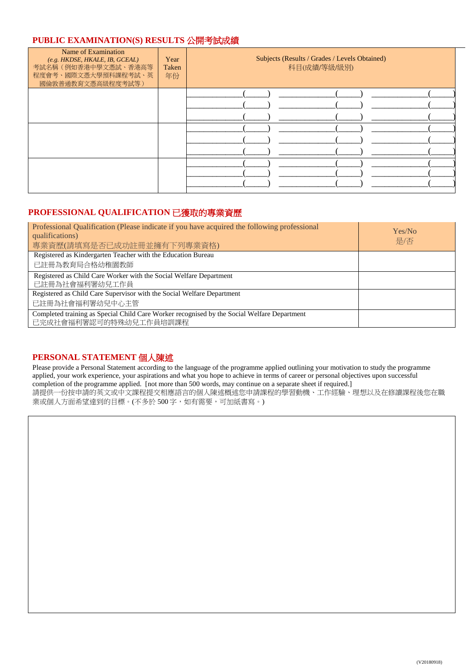## **PUBLIC EXAMINATION(S) RESULTS** 公開考試成績

| Name of Examination<br>(e.g. HKDSE, HKALE, IB, GCEAL)<br>考試名稱(例如香港中學文憑試、香港高等<br>程度會考、國際文憑大學預科課程考試、英<br>國倫敦普通教育文憑高級程度考試等) | Year<br>Taken<br>年份 | Subjects (Results / Grades / Levels Obtained)<br>科目(成績/等級/級別) |
|--------------------------------------------------------------------------------------------------------------------------|---------------------|---------------------------------------------------------------|
|                                                                                                                          |                     |                                                               |
|                                                                                                                          |                     |                                                               |
|                                                                                                                          |                     |                                                               |

## **PROFESSIONAL QUALIFICATION** 已獲取的專業資歷

| Professional Qualification (Please indicate if you have acquired the following professional<br>qualifications)<br>專業資歷(請填寫是否已成功註冊並擁有下列專業資格) | Yes/No<br>是/否 |
|---------------------------------------------------------------------------------------------------------------------------------------------|---------------|
| Registered as Kindergarten Teacher with the Education Bureau                                                                                |               |
| 已註冊為教育局合格幼稚園教師                                                                                                                              |               |
| Registered as Child Care Worker with the Social Welfare Department<br>已註冊為社會福利署幼兒工作員                                                        |               |
| Registered as Child Care Supervisor with the Social Welfare Department                                                                      |               |
| 已註冊為社會福利署幼兒中心主管                                                                                                                             |               |
| Completed training as Special Child Care Worker recognised by the Social Welfare Department<br>已完成社會福利署認可的特殊幼兒工作員培訓課程                       |               |

### **PERSONAL STATEMENT** 個人陳述

Please provide a Personal Statement according to the language of the programme applied outlining your motivation to study the programme applied, your work experience, your aspirations and what you hope to achieve in terms of career or personal objectives upon successful completion of the programme applied. [not more than 500 words, may continue on a separate sheet if required.] 請提供一份按申請的英文或中文課程提交相應語言的個人陳述概述您申請課程的學習動機、工作經驗、理想以及在修讀課程後您在職 業或個人方面希望達到的目標。(不多於500字,如有需要,可加紙書寫。)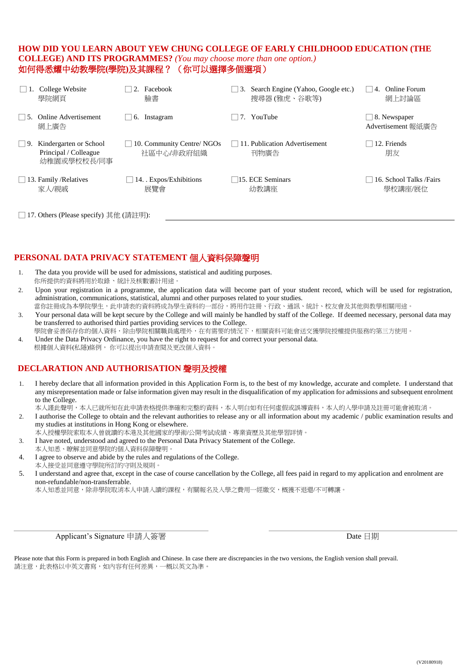## **HOW DID YOU LEARN ABOUT YEW CHUNG COLLEGE OF EARLY CHILDHOOD EDUCATION (THE COLLEGE) AND ITS PROGRAMMES?** *(You may choose more than one option.)* 如何得悉耀中幼教學院**(**學院**)**及其課程? (你可以選擇多個選項)

|                                         | College Website<br>學院網頁                                        | Facebook<br>臉書                           | Search Engine (Yahoo, Google etc.)<br>$\vert 3.$<br>搜尋器 (雅虎、谷歌等) | <b>Online Forum</b><br>4.<br>網上討論區  |  |
|-----------------------------------------|----------------------------------------------------------------|------------------------------------------|------------------------------------------------------------------|-------------------------------------|--|
| 15.                                     | Online Advertisement<br>網上廣告                                   | Instagram<br>6.                          | 7. YouTube                                                       | 8. Newspaper<br>Advertisement 報紙廣告  |  |
| 19                                      | Kindergarten or School<br>Principal / Colleague<br>幼稚園或學校校長/同事 | 10. Community Centre/ NGOs<br>社區中心/非政府組織 | 11. Publication Advertisement<br>刊物廣告                            | 12. Friends<br>朋友                   |  |
|                                         | $\Box$ 13. Family / Relatives<br>家人/親戚                         | $ 14.$ . Expos/Exhibitions<br>展覽會        | $\Box$ 15. ECE Seminars<br>幼教講座                                  | 16. School Talks / Fairs<br>學校講座/展位 |  |
| □ 17. Others (Please specify) 其他 (請註明): |                                                                |                                          |                                                                  |                                     |  |

# **PERSONAL DATA PRIVACY STATEMENT** 個人資料保障聲明

- 1. The data you provide will be used for admissions, statistical and auditing purposes. 你所提供的資料將用於取錄、統計及核數審計用途。
- 2. Upon your registration in a programme, the application data will become part of your student record, which will be used for registration, administration, communications, statistical, alumni and other purposes related to your studies.
- 當你註冊成為本學院學生,此申請表的資料將成為學生資料的一部份,將用作註冊、行政、通訊、統計、校友會及其他與教學相關用途。 3. Your personal data will be kept secure by the College and will mainly be handled by staff of the College. If deemed necessary, personal data may
- be transferred to authorised third parties providing services to the College. 學院會妥善保存你的個人資料,除由學院相關職員處理外,在有需要的情況下,相關資料可能會送交獲學院授權提供服務的第三方使用。
- 4. Under the Data Privacy Ordinance, you have the right to request for and correct your personal data. 根據個人資料(私隱)條例, 你可以提出申請查閱及更改個人資料。

# **DECLARATION AND AUTHORISATION** 聲明及授權

- 1. I hereby declare that all information provided in this Application Form is, to the best of my knowledge, accurate and complete. I understand that any misrepresentation made or false information given may result in the disqualification of my application for admissions and subsequent enrolment to the College.
- 本人謹此聲明,本人已就所知在此申請表格提供準確和完整的資料,本人明白如有任何虛假或誤導資料,本人的入學申請及註冊可能會被取消。
- 2. I authorise the College to obtain and the relevant authorities to release any or all information about my academic / public examination results and my studies at institutions in Hong Kong or elsewhere.
	- 本人授權學院索取本人曾就讀的本港及其他國家的學術/公開考試成績、專業資歷及其他學習詳情。
- 3. I have noted, understood and agreed to the Personal Data Privacy Statement of the College.
- 本人知悉、瞭解並同意學院的個人資料保障聲明。
- 4. I agree to observe and abide by the rules and regulations of the College. 本人接受並同意遵守學院所訂的守則及規則。
- 5. I understand and agree that, except in the case of course cancellation by the College, all fees paid in regard to my application and enrolment are non-refundable/non-transferrable.

本人知悉並同意,除非學院取消本人申請入讀的課程,有關報名及入學之費用一經繳交,概獲不退還/不可轉讓。

Applicant's Signature 申請人簽署 Date 日期

Please note that this Form is prepared in both English and Chinese. In case there are discrepancies in the two versions, the English version shall prevail. 請注意,此表格以中英文書寫,如內容有任何差異,一概以英文為準。